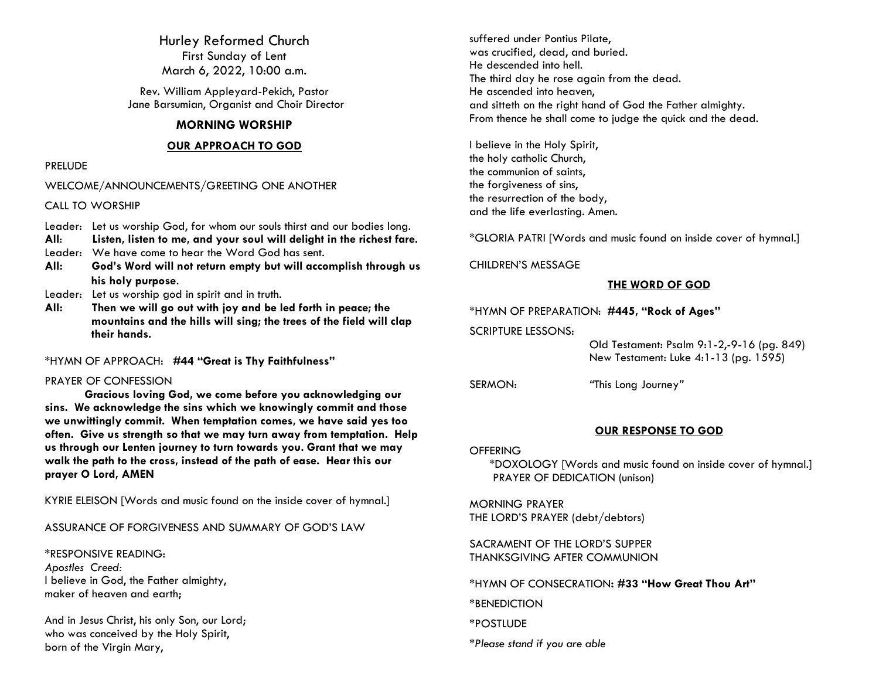Hurley Reformed Church First Sunday of Lent March 6, 2022, 10:00 a.m.

Rev. William Appleyard-Pekich, Pastor Jane Barsumian, Organist and Choir Director

## **MORNING WORSHIP**

### **OUR APPROACH TO GOD**

### PRELUDE

## WELCOME/ANNOUNCEMENTS/GREETING ONE ANOTHER

### CALL TO WORSHIP

Leader: Let us worship God, for whom our souls thirst and our bodies long.

**All**: **Listen, listen to me, and your soul will delight in the richest fare.**

- Leader: We have come to hear the Word God has sent.
- **All: God's Word will not return empty but will accomplish through us his holy purpose**.

Leader: Let us worship god in spirit and in truth.

**All: Then we will go out with joy and be led forth in peace; the mountains and the hills will sing; the trees of the field will clap their hands.**

\*HYMN OF APPROACH: **#44 "Great is Thy Faithfulness"**

### PRAYER OF CONFESSION

**Gracious loving God, we come before you acknowledging our sins. We acknowledge the sins which we knowingly commit and those we unwittingly commit. When temptation comes, we have said yes too often. Give us strength so that we may turn away from temptation. Help us through our Lenten journey to turn towards you. Grant that we may walk the path to the cross, instead of the path of ease. Hear this our prayer O Lord, AMEN**

KYRIE ELEISON [Words and music found on the inside cover of hymnal.]

## ASSURANCE OF FORGIVENESS AND SUMMARY OF GOD'S LAW

\*RESPONSIVE READING: *Apostles Creed:*  I believe in God, the Father almighty, maker of heaven and earth;

And in Jesus Christ, his only Son, our Lord; who was conceived by the Holy Spirit, born of the Virgin Mary,

suffered under Pontius Pilate, was crucified, dead, and buried. He descended into hell. The third day he rose again from the dead. He ascended into heaven, and sitteth on the right hand of God the Father almighty. From thence he shall come to judge the quick and the dead.

I believe in the Holy Spirit, the holy catholic Church, the communion of saints, the forgiveness of sins, the resurrection of the body, and the life everlasting. Amen.

\*GLORIA PATRI [Words and music found on inside cover of hymnal.]

CHILDREN'S MESSAGE

## **THE WORD OF GOD**

\*HYMN OF PREPARATION: **#445, "Rock of Ages"**

SCRIPTURE LESSONS:

 Old Testament: Psalm 9:1-2,-9-16 (pg. 849) New Testament: Luke 4:1-13 (pg. 1595)

SERMON: *"*This Long Journey*"*

## **OUR RESPONSE TO GOD**

## **OFFERING**

\*DOXOLOGY [Words and music found on inside cover of hymnal.] PRAYER OF DEDICATION (unison)

MORNING PRAYER THE LORD'S PRAYER (debt/debtors)

SACRAMENT OF THE LORD'S SUPPER THANKSGIVING AFTER COMMUNION

\*HYMN OF CONSECRATION**: #33 "How Great Thou Art"**

\*BENEDICTION

\*POSTLUDE

*\*Please stand if you are able*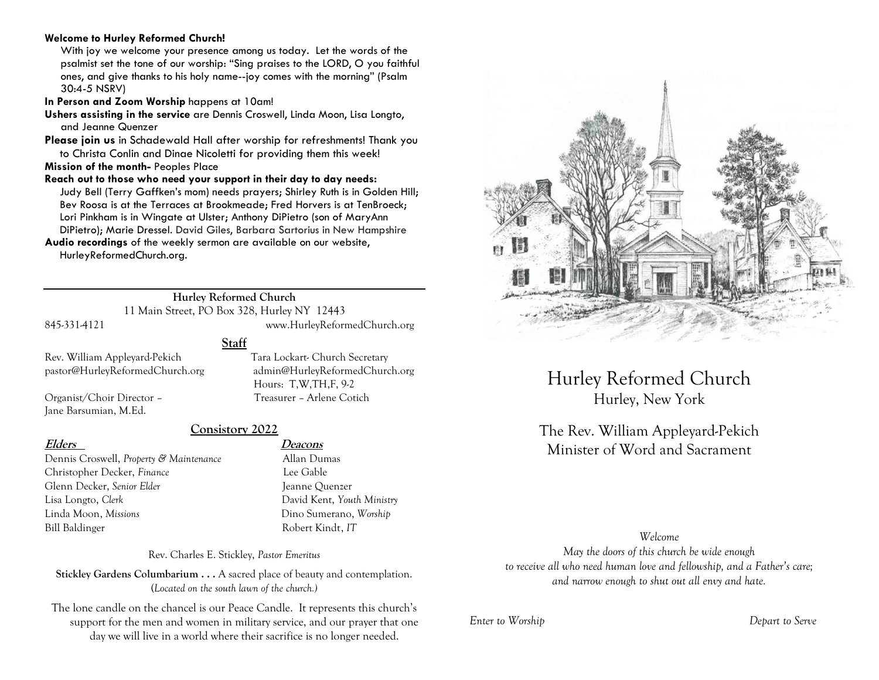## **Welcome to Hurley Reformed Church!**

With joy we welcome your presence among us today. Let the words of the psalmist set the tone of our worship: "Sing praises to the LORD, O you faithful ones, and give thanks to his holy name--joy comes with the morning" (Psalm 30:4-5 NSRV)

**In Person and Zoom Worship** happens at 10am!

**Ushers assisting in the service** are Dennis Croswell, Linda Moon, Lisa Longto, and Jeanne Quenzer

**Please join us** in Schadewald Hall after worship for refreshments! Thank you to Christa Conlin and Dinae Nicoletti for providing them this week! **Mission of the month-** Peoples Place

**Reach out to those who need your support in their day to day needs:**  Judy Bell (Terry Gaffken's mom) needs prayers; Shirley Ruth is in Golden Hill; Bev Roosa is at the Terraces at Brookmeade; Fred Horvers is at TenBroeck; Lori Pinkham is in Wingate at Ulster; Anthony DiPietro (son of MaryAnn DiPietro); Marie Dressel. David Giles, Barbara Sartorius in New Hampshire

**Audio recordings** of the weekly sermon are available on our website, HurleyReformedChurch.org.

## **Hurley Reformed Church**

11 Main Street, PO Box 328, Hurley NY 12443 845-331-4121 www.HurleyReformedChurch.org

**Staff**

Rev. William Appleyard-Pekich Tara Lockart- Church Secretary pastor@HurleyReformedChurch.org admin@HurleyReformedChurch.org

Organist/Choir Director – Treasurer – Arlene Cotich Jane Barsumian, M.Ed.

## **Consistory 2022**

Dennis Croswell, *Property & Maintenance* Allan Dumas Christopher Decker, *Finance* Lee Gable Glenn Decker, *Senior Elder* Jeanne Ouenzer Lisa Longto, *Clerk* David Kent, *Youth Ministry* Linda Moon, *Missions* Dino Sumerano, *Worship* Bill Baldinger Robert Kindt, *IT*

# **Elders Deacons**

Hours: T,W,TH,F, 9-2

Rev. Charles E. Stickley, *Pastor Emeritus*

**Stickley Gardens Columbarium . . .** A sacred place of beauty and contemplation. (*Located on the south lawn of the church.)* 

The lone candle on the chancel is our Peace Candle. It represents this church's support for the men and women in military service, and our prayer that one day we will live in a world where their sacrifice is no longer needed.



Hurley Reformed Church Hurley, New York

# The Rev. William Appleyard-Pekich Minister of Word and Sacrament

*Welcome*

*May the doors of this church be wide enough to receive all who need human love and fellowship, and a Father's care; and narrow enough to shut out all envy and hate.*

*Enter to Worship Depart to Serve*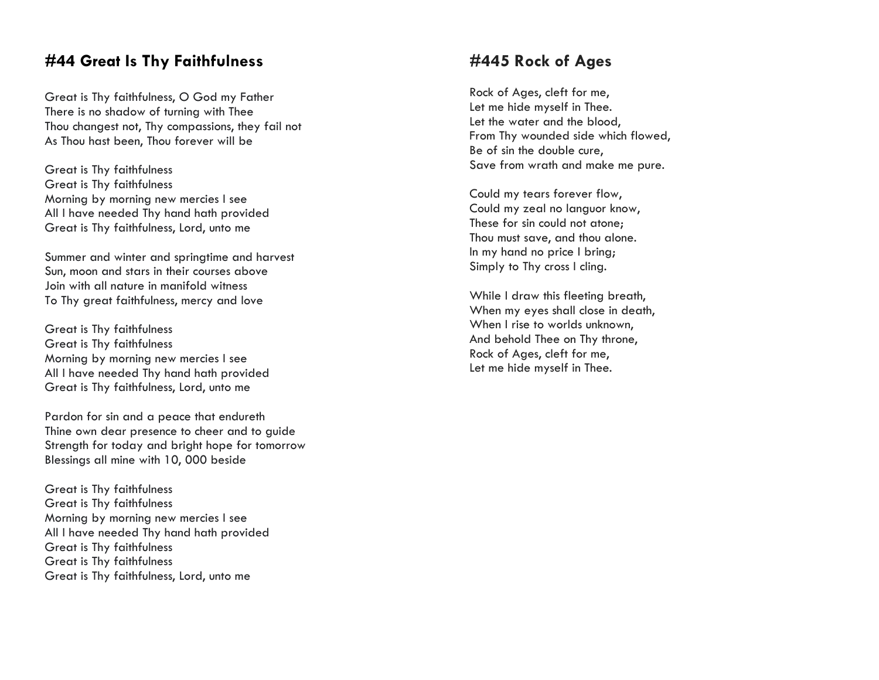# **#44 Great Is Thy Faithfulness**

Great is Thy faithfulness, O God my Father There is no shadow of turning with Thee Thou changest not, Thy compassions, they fail not As Thou hast been, Thou forever will be

Great is Thy faithfulness Great is Thy faithfulness Morning by morning new mercies I see All I have needed Thy hand hath provided Great is Thy faithfulness, Lord, unto me

Summer and winter and springtime and harvest Sun, moon and stars in their courses above Join with all nature in manifold witness To Thy great faithfulness, mercy and love

Great is Thy faithfulness Great is Thy faithfulness Morning by morning new mercies I see All I have needed Thy hand hath provided Great is Thy faithfulness, Lord, unto me

Pardon for sin and a peace that endureth Thine own dear presence to cheer and to guide Strength for today and bright hope for tomorrow Blessings all mine with 10, 000 beside

Great is Thy faithfulness Great is Thy faithfulness Morning by morning new mercies I see All I have needed Thy hand hath provided Great is Thy faithfulness Great is Thy faithfulness Great is Thy faithfulness, Lord, unto m e

# **#445 Rock of Ages**

Rock of Ages, cleft for me, Let me hide myself in Thee. Let the water and the blood, From Thy wounded side which flowed, Be of sin the double cure, Save from wrath and make me pure.

Could my tears forever flow, Could my zeal no languor know, These for sin could not atone; Thou must save, and thou alone. In my hand no price I bring; Simply to Thy cross I cling.

While I draw this fleeting breath, When my eyes shall close in death, When I rise to worlds unknown, And behold Thee on Thy throne, Rock of Ages, cleft for me, Let me hide myself in Thee.